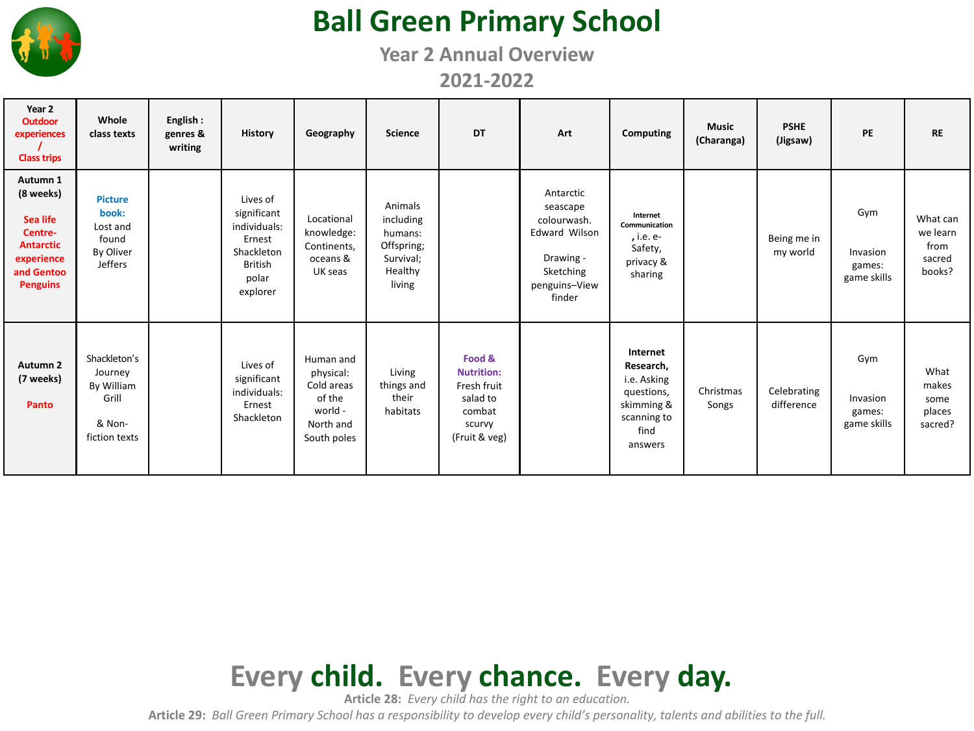

## **Ball Green Primary School**

**Year 2 Annual Overview**

**2021-2022**

| Year 2<br>Outdoor<br>experiences<br><b>Class trips</b>                                                          | Whole<br>class texts                                                        | English:<br>genres &<br>writing | <b>History</b>                                                                                         | Geography                                                                             | <b>Science</b>                                                                  | <b>DT</b>                                                                                   | Art                                                                                                               | Computing                                                                                          | <b>Music</b><br>(Charanga) | <b>PSHE</b><br>(Jigsaw)   | PE                                       | <b>RE</b>                                        |
|-----------------------------------------------------------------------------------------------------------------|-----------------------------------------------------------------------------|---------------------------------|--------------------------------------------------------------------------------------------------------|---------------------------------------------------------------------------------------|---------------------------------------------------------------------------------|---------------------------------------------------------------------------------------------|-------------------------------------------------------------------------------------------------------------------|----------------------------------------------------------------------------------------------------|----------------------------|---------------------------|------------------------------------------|--------------------------------------------------|
| Autumn 1<br>(8 weeks)<br>Sea life<br>Centre-<br><b>Antarctic</b><br>experience<br>and Gentoo<br><b>Penguins</b> | <b>Picture</b><br>book:<br>Lost and<br>found<br>By Oliver<br><b>Jeffers</b> |                                 | Lives of<br>significant<br>individuals:<br>Ernest<br>Shackleton<br><b>British</b><br>polar<br>explorer | Locational<br>knowledge:<br>Continents,<br>oceans &<br>UK seas                        | Animals<br>including<br>humans:<br>Offspring;<br>Survival;<br>Healthy<br>living |                                                                                             | Antarctic<br>seascape<br>colourwash.<br><b>Edward Wilson</b><br>Drawing -<br>Sketching<br>penguins-View<br>finder | Internet<br>Communication<br>, i.e. e-<br>Safety,<br>privacy &<br>sharing                          |                            | Being me in<br>my world   | Gym<br>Invasion<br>games:<br>game skills | What can<br>we learn<br>from<br>sacred<br>books? |
| Autumn <sub>2</sub><br>(7 weeks)<br>Panto                                                                       | Shackleton's<br>Journey<br>By William<br>Grill<br>& Non-<br>fiction texts   |                                 | Lives of<br>significant<br>individuals:<br>Ernest<br>Shackleton                                        | Human and<br>physical:<br>Cold areas<br>of the<br>world -<br>North and<br>South poles | Living<br>things and<br>their<br>habitats                                       | Food &<br><b>Nutrition:</b><br>Fresh fruit<br>salad to<br>combat<br>scurvy<br>(Fruit & veg) |                                                                                                                   | Internet<br>Research,<br>i.e. Asking<br>questions,<br>skimming &<br>scanning to<br>find<br>answers | Christmas<br>Songs         | Celebrating<br>difference | Gym<br>Invasion<br>games:<br>game skills | What<br>makes<br>some<br>places<br>sacred?       |



**Article 28:** *Every child has the right to an education.*

**Article 29:** *Ball Green Primary School has a responsibility to develop every child's personality, talents and abilities to the full.*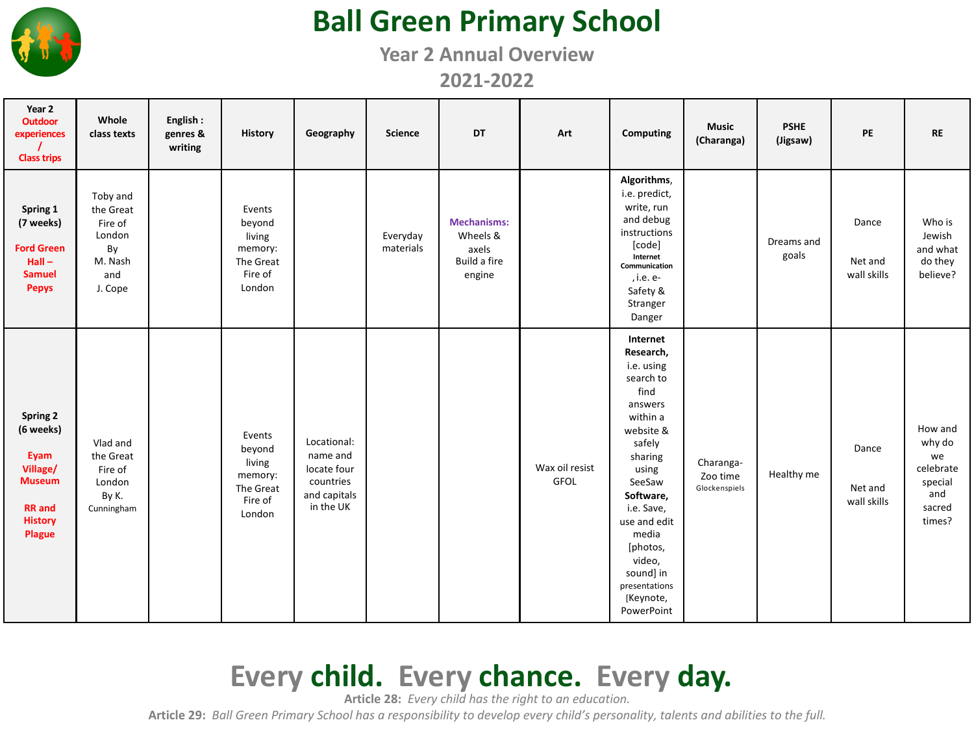

## **Ball Green Primary School**

**Year 2 Annual Overview**

**2021-2022**

| Year 2<br><b>Outdoor</b><br>experiences<br><b>Class trips</b>                                           | Whole<br>class texts                                                          | English:<br>genres &<br>writing | History                                                                 | Geography                                                                        | <b>Science</b>        | DT                                                                | Art                           | Computing                                                                                                                                                                                                                                                               | <b>Music</b><br>(Charanga)             | <b>PSHE</b><br>(Jigsaw) | PE                              | <b>RE</b>                                                                  |
|---------------------------------------------------------------------------------------------------------|-------------------------------------------------------------------------------|---------------------------------|-------------------------------------------------------------------------|----------------------------------------------------------------------------------|-----------------------|-------------------------------------------------------------------|-------------------------------|-------------------------------------------------------------------------------------------------------------------------------------------------------------------------------------------------------------------------------------------------------------------------|----------------------------------------|-------------------------|---------------------------------|----------------------------------------------------------------------------|
| Spring 1<br>(7 weeks)<br><b>Ford Green</b><br>$Hall -$<br><b>Samuel</b><br><b>Pepys</b>                 | Toby and<br>the Great<br>Fire of<br>London<br>By<br>M. Nash<br>and<br>J. Cope |                                 | Events<br>beyond<br>living<br>memory:<br>The Great<br>Fire of<br>London |                                                                                  | Everyday<br>materials | <b>Mechanisms:</b><br>Wheels &<br>axels<br>Build a fire<br>engine |                               | Algorithms,<br>i.e. predict,<br>write, run<br>and debug<br>instructions<br>[code]<br>Internet<br>Communication<br>, i.e. e-<br>Safety &<br>Stranger<br>Danger                                                                                                           |                                        | Dreams and<br>goals     | Dance<br>Net and<br>wall skills | Who is<br>Jewish<br>and what<br>do they<br>believe?                        |
| Spring 2<br>(6 weeks)<br>Eyam<br>Village/<br><b>Museum</b><br><b>RR</b> and<br><b>History</b><br>Plague | Vlad and<br>the Great<br>Fire of<br>London<br>By K.<br>Cunningham             |                                 | Events<br>beyond<br>living<br>memory:<br>The Great<br>Fire of<br>London | Locational:<br>name and<br>locate four<br>countries<br>and capitals<br>in the UK |                       |                                                                   | Wax oil resist<br><b>GFOL</b> | Internet<br>Research,<br>i.e. using<br>search to<br>find<br>answers<br>within a<br>website &<br>safely<br>sharing<br>using<br>SeeSaw<br>Software,<br>i.e. Save,<br>use and edit<br>media<br>[photos,<br>video,<br>sound] in<br>presentations<br>[Keynote,<br>PowerPoint | Charanga-<br>Zoo time<br>Glockenspiels | Healthy me              | Dance<br>Net and<br>wall skills | How and<br>why do<br>we<br>celebrate<br>special<br>and<br>sacred<br>times? |

## **Every child. Every chance. Every day.**

**Article 28:** *Every child has the right to an education.*

**Article 29:** *Ball Green Primary School has a responsibility to develop every child's personality, talents and abilities to the full.*